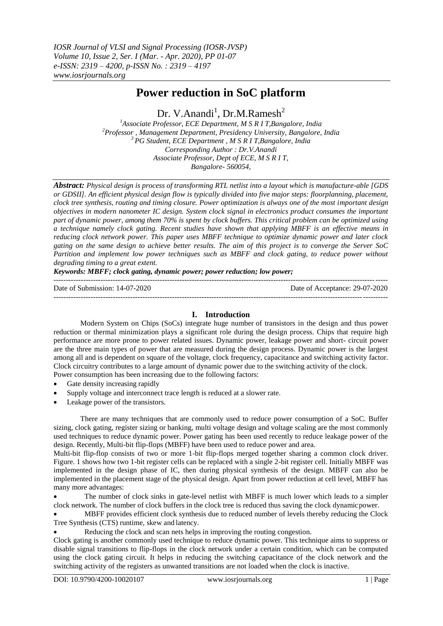# **Power reduction in SoC platform**

Dr. V.Anandi<sup>1</sup>, Dr.M.Ramesh<sup>2</sup>

*<sup>1</sup>Associate Professor, ECE Department, M S R I T,Bangalore, India <sup>2</sup>Professor , Management Department, Presidency University, Bangalore, India <sup>3</sup>PG Student, ECE Department , M S R I T,Bangalore, India Corresponding Author : Dr.V.Anandi Associate Professor, Dept of ECE, M S R I T, Bangalore- 560054,*

*Abstract: Physical design is process of transforming RTL netlist into a layout which is manufacture-able [GDS or GDSII]. An efficient physical design flow is typically divided into five major steps: floorplanning, placement, clock tree synthesis, routing and timing closure. Power optimization is always one of the most important design objectives in modern nanometer IC design. System clock signal in electronics product consumes the important part of dynamic power, among them 70% is spent by clock buffers. This critical problem can be optimized using a technique namely clock gating. Recent studies have shown that applying MBFF is an effective means in reducing clock network power. This paper uses MBFF technique to optimize dynamic power and later clock gating on the same design to achieve better results. The aim of this project is to converge the Server SoC Partition and implement low power techniques such as MBFF and clock gating, to reduce power without degrading timing to a great extent.*

*Keywords: MBFF; clock gating, dynamic power; power reduction; low power;*

--------------------------------------------------------------------------------------------------------------------------------------- Date of Submission: 14-07-2020 Date of Acceptance: 29-07-2020

---------------------------------------------------------------------------------------------------------------------------------------

# **I. Introduction**

Modern System on Chips (SoCs) integrate huge number of transistors in the design and thus power reduction or thermal minimization plays a significant role during the design process. Chips that require high performance are more prone to power related issues. Dynamic power, leakage power and short- circuit power are the three main types of power that are measured during the design process. Dynamic power is the largest among all and is dependent on square of the voltage, clock frequency, capacitance and switching activity factor. Clock circuitry contributes to a large amount of dynamic power due to the switching activity of the clock. Power consumption has been increasing due to the following factors:

- Gate density increasing rapidly
- Supply voltage and interconnect trace length is reduced at a slower rate.
- Leakage power of the transistors.

There are many techniques that are commonly used to reduce power consumption of a SoC. Buffer sizing, clock gating, register sizing or banking, multi voltage design and voltage scaling are the most commonly used techniques to reduce dynamic power. Power gating has been used recently to reduce leakage power of the design. Recently, Multi-bit flip-flops (MBFF) have been used to reduce power and area.

Multi-bit flip-flop consists of two or more 1-bit flip-flops merged together sharing a common clock driver. Figure. 1 shows how two 1-bit register cells can be replaced with a single 2-bit register cell. Initially MBFF was implemented in the design phase of IC, then during physical synthesis of the design. MBFF can also be implemented in the placement stage of the physical design. Apart from power reduction at cell level, MBFF has many more advantages:

 The number of clock sinks in gate-level netlist with MBFF is much lower which leads to a simpler clock network. The number of clock buffers in the clock tree is reduced thus saving the clock dynamicpower.

 MBFF provides efficient clock synthesis due to reduced number of levels thereby reducing the Clock Tree Synthesis (CTS) runtime, skew and latency.

Reducing the clock and scan nets helps in improving the routing congestion.

Clock gating is another commonly used technique to reduce dynamic power. This technique aims to suppress or disable signal transitions to flip-flops in the clock network under a certain condition, which can be computed using the clock gating circuit. It helps in reducing the switching capacitance of the clock network and the switching activity of the registers as unwanted transitions are not loaded when the clock is inactive.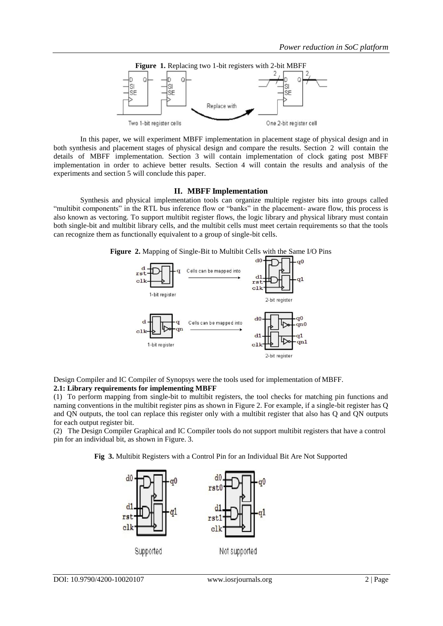

In this paper, we will experiment MBFF implementation in placement stage of physical design and in both synthesis and placement stages of physical design and compare the results. Section 2 will contain the details of MBFF implementation. Section 3 will contain implementation of clock gating post MBFF implementation in order to achieve better results. Section 4 will contain the results and analysis of the experiments and section 5 will conclude this paper.

#### **II. MBFF Implementation**

Synthesis and physical implementation tools can organize multiple register bits into groups called ―multibit components‖ in the RTL bus inference flow or ―banks‖ in the placement- aware flow, this process is also known as vectoring. To support multibit register flows, the logic library and physical library must contain both single-bit and multibit library cells, and the multibit cells must meet certain requirements so that the tools can recognize them as functionally equivalent to a group of single-bit cells.





Design Compiler and IC Compiler of Synopsys were the tools used for implementation ofMBFF. **2.1: Library requirements for implementing MBFF**

(1) To perform mapping from single-bit to multibit registers, the tool checks for matching pin functions and naming conventions in the multibit register pins as shown in Figure 2. For example, if a single-bit register has Q and QN outputs, the tool can replace this register only with a multibit register that also has Q and QN outputs for each output register bit.

(2) The Design Compiler Graphical and IC Compiler tools do not support multibit registers that have a control pin for an individual bit, as shown in Figure. 3.

**Fig 3.** Multibit Registers with a Control Pin for an Individual Bit Are Not Supported

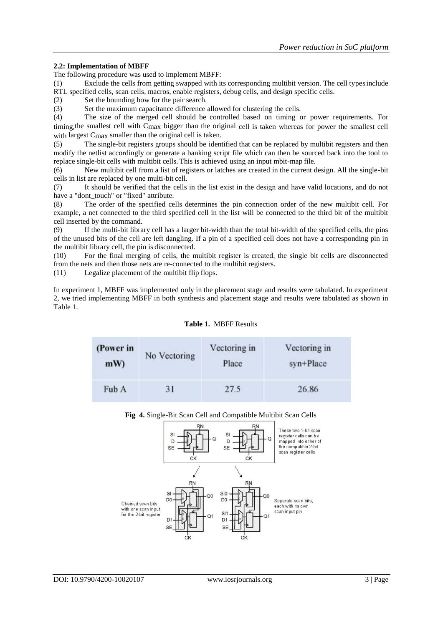#### **2.2: Implementation of MBFF**

The following procedure was used to implement MBFF:

(1) Exclude the cells from getting swapped with its corresponding multibit version. The cell typesinclude RTL specified cells, scan cells, macros, enable registers, debug cells, and design specific cells.

(2) Set the bounding bow for the pair search.

(3) Set the maximum capacitance difference allowed for clustering the cells.<br>
(4) The size of the merged cell should be controlled based on timing of

The size of the merged cell should be controlled based on timing or power requirements. For timing,the smallest cell with Cmax bigger than the original cell is taken whereas for power the smallest cell with largest Cmax smaller than the original cell is taken.

(5) The single-bit registers groups should be identified that can be replaced by multibit registers and then modify the netlist accordingly or generate a banking script file which can then be sourced back into the tool to replace single-bit cells with multibit cells. This is achieved using an input mbit-map file.

(6) New multibit cell from a list of registers or latches are created in the current design. All the single-bit cells in list are replaced by one multi-bit cell.

(7) It should be verified that the cells in the list exist in the design and have valid locations, and do not have a "dont touch" or "fixed" attribute.

(8) The order of the specified cells determines the pin connection order of the new multibit cell. For example, a net connected to the third specified cell in the list will be connected to the third bit of the multibit cell inserted by the command.

(9) If the multi-bit library cell has a larger bit-width than the total bit-width of the specified cells, the pins of the unused bits of the cell are left dangling. If a pin of a specified cell does not have a corresponding pin in the multibit library cell, the pin is disconnected.

(10) For the final merging of cells, the multibit register is created, the single bit cells are disconnected from the nets and then those nets are re-connected to the multibit registers.

(11) Legalize placement of the multibit flip flops.

In experiment 1, MBFF was implemented only in the placement stage and results were tabulated. In experiment 2, we tried implementing MBFF in both synthesis and placement stage and results were tabulated as shown in Table 1.

#### **Table 1.** MBFF Results

| (Power in | No Vectoring | Vectoring in | Vectoring in |
|-----------|--------------|--------------|--------------|
| mW        |              | Place        | syn+Place    |
| Fub A     | 31           | 27.5         | 26.86        |



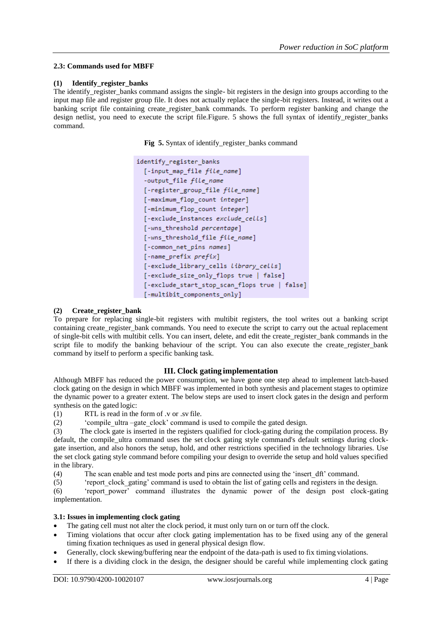#### **2.3: Commands used for MBFF**

#### **(1) Identify\_register\_banks**

The identify register banks command assigns the single- bit registers in the design into groups according to the input map file and register group file. It does not actually replace the single-bit registers. Instead, it writes out a banking script file containing create\_register\_bank commands. To perform register banking and change the design netlist, you need to execute the script file.Figure. 5 shows the full syntax of identify\_register\_banks command.

Fig 5. Syntax of identify register banks command

```
identify register banks
  [-input map file file name]
  -output_file file_name
 [-register group file file name]
 [-maximum_flop_count integer]
  [-minimum flop count integer]
 [-exclude instances exclude cells]
 [-wns_threshold percentage]
 [-wns_threshold_file file_name]
 [-common_net_pins names]
 [-name_prefix prefix]
 [-exclude_library_cells library_cells]
  [-exclude size only flops true | false]
  [-exclude_start_stop_scan_flops true | false]
 [-multibit_components_only]
```
#### **(2) Create\_register\_bank**

To prepare for replacing single-bit registers with multibit registers, the tool writes out a banking script containing create register bank commands. You need to execute the script to carry out the actual replacement of single-bit cells with multibit cells. You can insert, delete, and edit the create\_register\_bank commands in the script file to modify the banking behaviour of the script. You can also execute the create\_register\_bank command by itself to perform a specific banking task.

### **III. Clock gating implementation**

Although MBFF has reduced the power consumption, we have gone one step ahead to implement latch-based clock gating on the design in which MBFF was implemented in both synthesis and placement stages to optimize the dynamic power to a greater extent. The below steps are used to insert clock gatesin the design and perform synthesis on the gated logic:

(1) RTL is read in the form of .v or .sv file.

(2) <sup>c</sup>compile ultra –gate clock' command is used to compile the gated design.

(3) The clock gate is inserted in the registers qualified for clock-gating during the compilation process. By default, the compile\_ultra command uses the set clock gating style command's default settings during clockgate insertion, and also honors the setup, hold, and other restrictions specified in the technology libraries. Use the set clock gating style command before compiling your design to override the setup and hold values specified in the library.

(4) The scan enable and test mode ports and pins are connected using the ‗insert\_dft' command.

(5) <sup>t</sup>report clock gating' command is used to obtain the list of gating cells and registers in the design. (6) ‗report\_power' command illustrates the dynamic power of the design post clock-gating

implementation.

### **3.1: Issues in implementing clock gating**

- The gating cell must not alter the clock period, it must only turn on or turn off the clock.
- Timing violations that occur after clock gating implementation has to be fixed using any of the general timing fixation techniques as used in general physical design flow.
- Generally, clock skewing/buffering near the endpoint of the data-path is used to fix timing violations.
- If there is a dividing clock in the design, the designer should be careful while implementing clock gating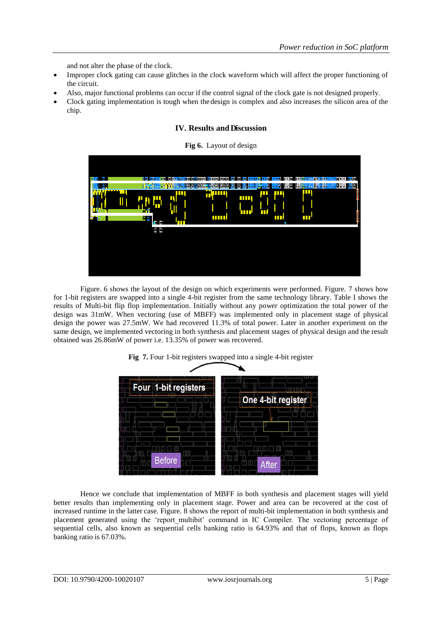and not alter the phase of the clock.

- Improper clock gating can cause glitches in the clock waveform which will affect the proper functioning of the circuit.
- Also, major functional problems can occur if the control signal of the clock gate is not designed properly.
- Clock gating implementation is tough when thedesign is complex and also increases the silicon area of the chip.

## **IV. Results and Discussion**





Figure. 6 shows the layout of the design on which experiments were performed. Figure. 7 shows how for 1-bit registers are swapped into a single 4-bit register from the same technology library. Table I shows the results of Multi-bit flip flop implementation. Initially without any power optimization the total power of the design was 31mW. When vectoring (use of MBFF) was implemented only in placement stage of physical design the power was 27.5mW. We had recovered 11.3% of total power. Later in another experiment on the same design, we implemented vectoring in both synthesis and placement stages of physical design and the result obtained was 26.86mW of power i.e. 13.35% of power was recovered.



## **Fig 7.** Four 1-bit registers swapped into a single 4-bit register

Hence we conclude that implementation of MBFF in both synthesis and placement stages will yield better results than implementing only in placement stage. Power and area can be recovered at the cost of increased runtime in the latter case. Figure. 8 shows the report of multi-bit implementation in both synthesis and placement generated using the 'report multibit' command in IC Compiler. The vectoring percentage of sequential cells, also known as sequential cells banking ratio is 64.93% and that of flops, known as flops banking ratio is 67.03%.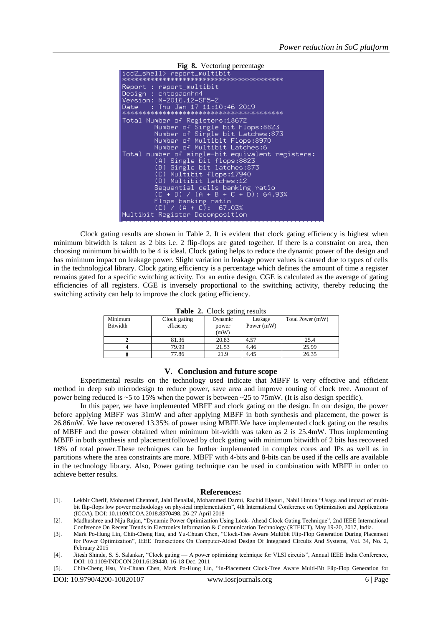**Fig 8.** Vectoring percentage icc2\_shell> -<br>\*\*\*\*\*\*\*\*\*\*\*\*\*\*\* Report : report\_multibit Design : chtopaonhn4 Version: M-2016.12-SP5-2 Thu Jan 17 11:10:46 2019 Date \*\*\*\*\* Total Number of Registers:18672<br>Number of Single bit Flops:8823<br>Number of Single bit Latches:873<br>Number of Multibit Flops:8970<br>Number of Multibit Latches:6<br>Tatal number of Multibit Latches:6 Total number of single-bit equivalent registers:<br>
(A) Single bit flops:8823<br>
(B) Single bit latches:873<br>
(C) Multibit flops:17940<br>
(D) Multibit latches:12<br>
(D) Multibit latches:12<br>
(D) Multibit latches:12<br>
(D) Multibit lat Sequential cells banking ratio<br>(C + D) / (A + B + C + D): 64.93% Flops banking ratio<br>(C) / (A + C): 67.03% Multibit Register Decomposition

Clock gating results are shown in Table 2. It is evident that clock gating efficiency is highest when minimum bitwidth is taken as 2 bits i.e. 2 flip-flops are gated together. If there is a constraint on area, then choosing minimum bitwidth to be 4 is ideal. Clock gating helps to reduce the dynamic power of the design and has minimum impact on leakage power. Slight variation in leakage power values is caused due to types of cells in the technological library. Clock gating efficiency is a percentage which defines the amount of time a register remains gated for a specific switching activity. For an entire design, CGE is calculated as the average of gating efficiencies of all registers. CGE is inversely proportional to the switching activity, thereby reducing the switching activity can help to improve the clock gating efficiency.

| <b>Table 2.</b> Clock gaining results |              |         |              |                  |  |  |
|---------------------------------------|--------------|---------|--------------|------------------|--|--|
| Minimum                               | Clock gating | Dynamic | Leakage      | Total Power (mW) |  |  |
| Bitwidth                              | efficiency   | power   | Power $(mW)$ |                  |  |  |
|                                       |              | (mW)    |              |                  |  |  |
|                                       | 81.36        | 20.83   | 4.57         | 25.4             |  |  |
|                                       | 79.99        | 21.53   | 4.46         | 25.99            |  |  |
|                                       | 77.86        | 21.9    | 4.45         | 26.35            |  |  |

**Table 2.** Clock gating results

#### **V. Conclusion and future scope**

Experimental results on the technology used indicate that MBFF is very effective and efficient method in deep sub microdesign to reduce power, save area and improve routing of clock tree. Amount of power being reduced is ~5 to 15% when the power is between ~25 to 75mW. (It is also design specific).

In this paper, we have implemented MBFF and clock gating on the design. In our design, the power before applying MBFF was 31mW and after applying MBFF in both synthesis and placement, the power is 26.86mW. We have recovered 13.35% of power using MBFF.We have implemented clock gating on the results of MBFF and the power obtained when minimum bit-width was taken as 2 is 25.4mW. Thus implementing MBFF in both synthesis and placementfollowed by clock gating with minimum bitwidth of 2 bits has recovered 18% of total power.These techniques can be further implemented in complex cores and IPs as well as in partitions where the area constraints are more. MBFF with 4-bits and 8-bits can be used if the cells are available in the technology library. Also, Power gating technique can be used in combination with MBFF in order to achieve better results.

#### **References:**

[1]. Lekbir Cherif, Mohamed Chentouf, Jalal Benallal, Mohammed Darmi, Rachid Elgouri, Nabil Hmina "Usage and impact of multibit flip-flops low power methodology on physical implementation", 4th International Conference on Optimization and Applications (ICOA), DOI: 10.1109/ICOA.2018.8370498, 26-27 April 2018

<sup>[2].</sup> Madhushree and Niju Rajan, "Dynamic Power Optimization Using Look- Ahead Clock Gating Technique", 2nd IEEE International Conference On Recent Trends in Electronics Information & Communication Technology (RTEICT), May 19-20, 2017, India.

<sup>[3].</sup> Mark Po-Hung Lin, Chih-Cheng Hsu, and Yu-Chuan Chen, "Clock-Tree Aware Multibit Flip-Flop Generation During Placement for Power Optimization", IEEE Transactions On Computer-Aided Design Of Integrated Circuits And Systems, Vol. 34, No. 2, February 2015

<sup>[4].</sup> Jitesh Shinde, S. S. Salankar, "Clock gating — A power optimizing technique for VLSI circuits", Annual IEEE India Conference, DOI: 10.1109/INDCON.2011.6139440, 16-18 Dec. 2011

<sup>[5].</sup> Chih-Cheng Hsu, Yu-Chuan Chen, Mark Po-Hung Lin, "In-Placement Clock-Tree Aware Multi-Bit Flip-Flop Generation for